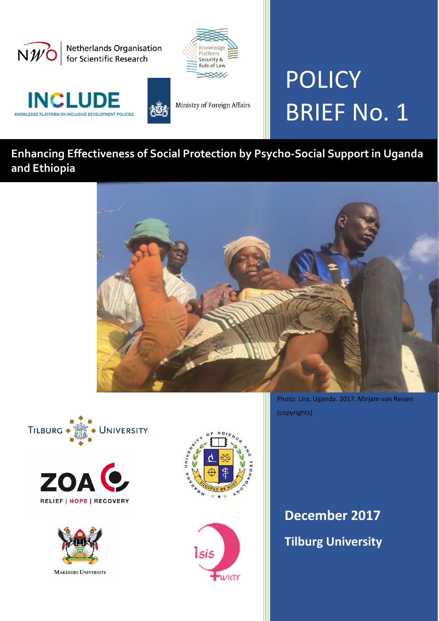

## **Enhancing Effectiveness of Social Protection by Psycho-Social Support in Uganda and Ethiopia**













Photo: Lira, Uganda. 2017. Mirjam van Reisen (copyrights)

# **December 2017 Tilburg University**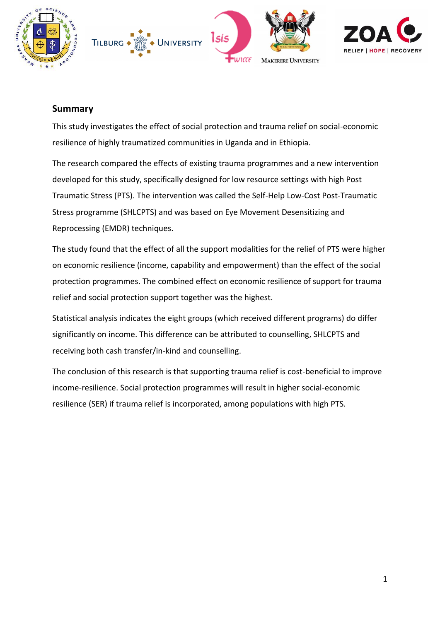





## **Summary**

This study investigates the effect of social protection and trauma relief on social-economic resilience of highly traumatized communities in Uganda and in Ethiopia.

The research compared the effects of existing trauma programmes and a new intervention developed for this study, specifically designed for low resource settings with high Post Traumatic Stress (PTS). The intervention was called the Self-Help Low-Cost Post-Traumatic Stress programme (SHLCPTS) and was based on Eye Movement Desensitizing and Reprocessing (EMDR) techniques.

The study found that the effect of all the support modalities for the relief of PTS were higher on economic resilience (income, capability and empowerment) than the effect of the social protection programmes. The combined effect on economic resilience of support for trauma relief and social protection support together was the highest.

Statistical analysis indicates the eight groups (which received different programs) do differ significantly on income. This difference can be attributed to counselling, SHLCPTS and receiving both cash transfer/in-kind and counselling.

The conclusion of this research is that supporting trauma relief is cost-beneficial to improve income-resilience. Social protection programmes will result in higher social-economic resilience (SER) if trauma relief is incorporated, among populations with high PTS.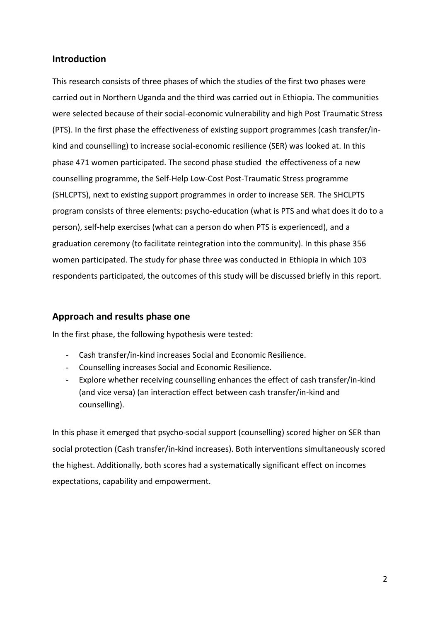#### **Introduction**

This research consists of three phases of which the studies of the first two phases were carried out in Northern Uganda and the third was carried out in Ethiopia. The communities were selected because of their social-economic vulnerability and high Post Traumatic Stress (PTS). In the first phase the effectiveness of existing support programmes (cash transfer/inkind and counselling) to increase social-economic resilience (SER) was looked at. In this phase 471 women participated. The second phase studied the effectiveness of a new counselling programme, the Self-Help Low-Cost Post-Traumatic Stress programme (SHLCPTS), next to existing support programmes in order to increase SER. The SHCLPTS program consists of three elements: psycho-education (what is PTS and what does it do to a person), self-help exercises (what can a person do when PTS is experienced), and a graduation ceremony (to facilitate reintegration into the community). In this phase 356 women participated. The study for phase three was conducted in Ethiopia in which 103 respondents participated, the outcomes of this study will be discussed briefly in this report.

## **Approach and results phase one**

In the first phase, the following hypothesis were tested:

- Cash transfer/in-kind increases Social and Economic Resilience.
- Counselling increases Social and Economic Resilience.
- Explore whether receiving counselling enhances the effect of cash transfer/in-kind (and vice versa) (an interaction effect between cash transfer/in-kind and counselling).

In this phase it emerged that psycho-social support (counselling) scored higher on SER than social protection (Cash transfer/in-kind increases). Both interventions simultaneously scored the highest. Additionally, both scores had a systematically significant effect on incomes expectations, capability and empowerment.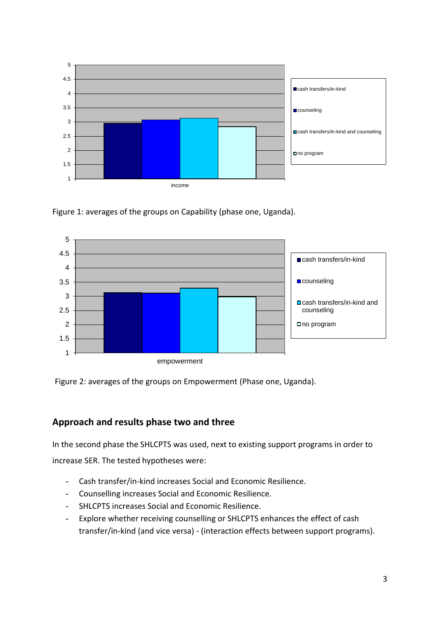

Figure 1: averages of the groups on Capability (phase one, Uganda).



Figure 2: averages of the groups on Empowerment (Phase one, Uganda).

## **Approach and results phase two and three**

In the second phase the SHLCPTS was used, next to existing support programs in order to increase SER. The tested hypotheses were:

- Cash transfer/in-kind increases Social and Economic Resilience.
- Counselling increases Social and Economic Resilience.
- SHLCPTS increases Social and Economic Resilience.
- Explore whether receiving counselling or SHLCPTS enhances the effect of cash transfer/in-kind (and vice versa) - (interaction effects between support programs).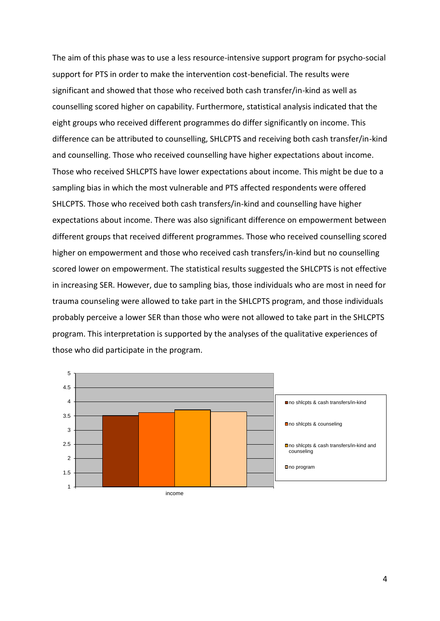The aim of this phase was to use a less resource-intensive support program for psycho-social support for PTS in order to make the intervention cost-beneficial. The results were significant and showed that those who received both cash transfer/in-kind as well as counselling scored higher on capability. Furthermore, statistical analysis indicated that the eight groups who received different programmes do differ significantly on income. This difference can be attributed to counselling, SHLCPTS and receiving both cash transfer/in-kind and counselling. Those who received counselling have higher expectations about income. Those who received SHLCPTS have lower expectations about income. This might be due to a sampling bias in which the most vulnerable and PTS affected respondents were offered SHLCPTS. Those who received both cash transfers/in-kind and counselling have higher expectations about income. There was also significant difference on empowerment between different groups that received different programmes. Those who received counselling scored higher on empowerment and those who received cash transfers/in-kind but no counselling scored lower on empowerment. The statistical results suggested the SHLCPTS is not effective in increasing SER. However, due to sampling bias, those individuals who are most in need for trauma counseling were allowed to take part in the SHLCPTS program, and those individuals probably perceive a lower SER than those who were not allowed to take part in the SHLCPTS program. This interpretation is supported by the analyses of the qualitative experiences of those who did participate in the program.

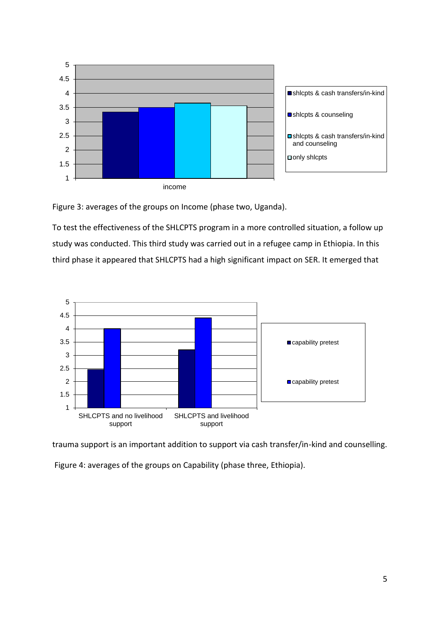

Figure 3: averages of the groups on Income (phase two, Uganda).

To test the effectiveness of the SHLCPTS program in a more controlled situation, a follow up study was conducted. This third study was carried out in a refugee camp in Ethiopia. In this third phase it appeared that SHLCPTS had a high significant impact on SER. It emerged that



trauma support is an important addition to support via cash transfer/in-kind and counselling.

Figure 4: averages of the groups on Capability (phase three, Ethiopia).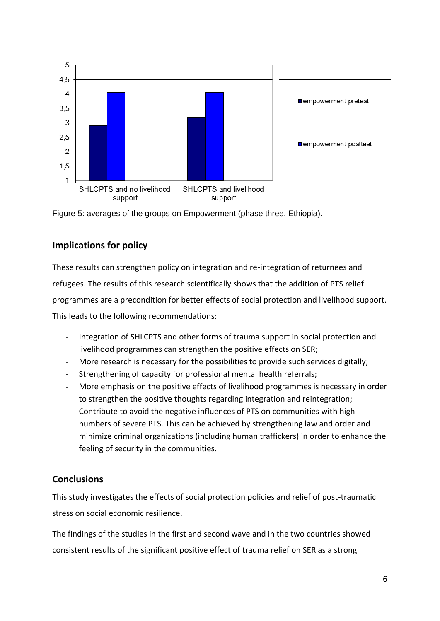

Figure 5: averages of the groups on Empowerment (phase three, Ethiopia).

## **Implications for policy**

These results can strengthen policy on integration and re-integration of returnees and refugees. The results of this research scientifically shows that the addition of PTS relief programmes are a precondition for better effects of social protection and livelihood support. This leads to the following recommendations:

- Integration of SHLCPTS and other forms of trauma support in social protection and livelihood programmes can strengthen the positive effects on SER;
- More research is necessary for the possibilities to provide such services digitally;
- Strengthening of capacity for professional mental health referrals;
- More emphasis on the positive effects of livelihood programmes is necessary in order to strengthen the positive thoughts regarding integration and reintegration;
- Contribute to avoid the negative influences of PTS on communities with high numbers of severe PTS. This can be achieved by strengthening law and order and minimize criminal organizations (including human traffickers) in order to enhance the feeling of security in the communities.

## **Conclusions**

This study investigates the effects of social protection policies and relief of post-traumatic stress on social economic resilience.

The findings of the studies in the first and second wave and in the two countries showed consistent results of the significant positive effect of trauma relief on SER as a strong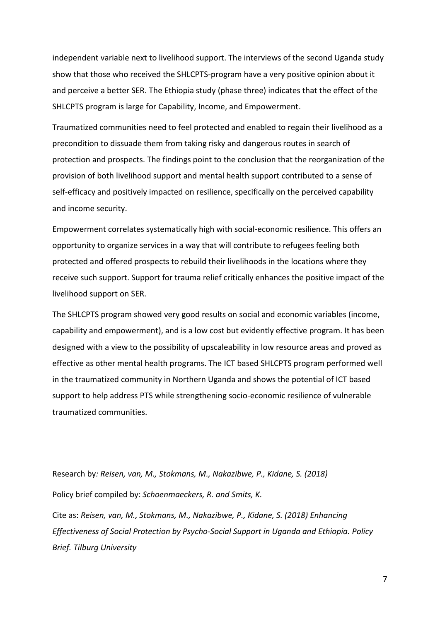independent variable next to livelihood support. The interviews of the second Uganda study show that those who received the SHLCPTS-program have a very positive opinion about it and perceive a better SER. The Ethiopia study (phase three) indicates that the effect of the SHLCPTS program is large for Capability, Income, and Empowerment.

Traumatized communities need to feel protected and enabled to regain their livelihood as a precondition to dissuade them from taking risky and dangerous routes in search of protection and prospects. The findings point to the conclusion that the reorganization of the provision of both livelihood support and mental health support contributed to a sense of self-efficacy and positively impacted on resilience, specifically on the perceived capability and income security.

Empowerment correlates systematically high with social-economic resilience. This offers an opportunity to organize services in a way that will contribute to refugees feeling both protected and offered prospects to rebuild their livelihoods in the locations where they receive such support. Support for trauma relief critically enhances the positive impact of the livelihood support on SER.

The SHLCPTS program showed very good results on social and economic variables (income, capability and empowerment), and is a low cost but evidently effective program. It has been designed with a view to the possibility of upscaleability in low resource areas and proved as effective as other mental health programs. The ICT based SHLCPTS program performed well in the traumatized community in Northern Uganda and shows the potential of ICT based support to help address PTS while strengthening socio-economic resilience of vulnerable traumatized communities.

Research by*: Reisen, van, M., Stokmans, M., Nakazibwe, P., Kidane, S. (2018)* Policy brief compiled by: *Schoenmaeckers, R. and Smits, K.*

Cite as: *Reisen, van, M., Stokmans, M., Nakazibwe, P., Kidane, S. (2018) Enhancing Effectiveness of Social Protection by Psycho-Social Support in Uganda and Ethiopia. Policy Brief. Tilburg University*